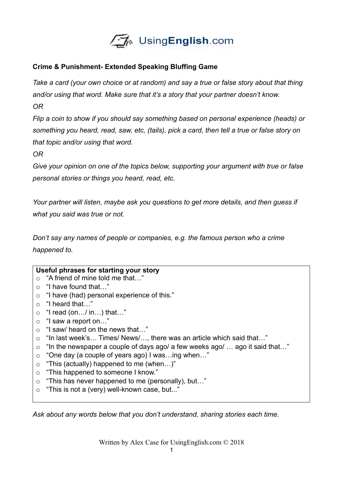

## **Crime & Punishment- Extended Speaking Bluffing Game**

*Take a card (your own choice or at random) and say a true or false story about that thing and/or using that word. Make sure that it's a story that your partner doesn't know. OR*

*Flip a coin to show if you should say something based on personal experience (heads) or something you heard, read, saw, etc, (tails), pick a card, then tell a true or false story on that topic and/or using that word.*

*OR*

*Give your opinion on one of the topics below, supporting your argument with true or false personal stories or things you heard, read, etc.*

*Your partner will listen, maybe ask you questions to get more details, and then guess if what you said was true or not.*

*Don't say any names of people or companies, e.g. the famous person who a crime happened to.* 

| Useful phrases for starting your story |                                                                             |  |  |  |
|----------------------------------------|-----------------------------------------------------------------------------|--|--|--|
|                                        | "A friend of mine told me that"                                             |  |  |  |
| $\Omega$                               | "I have found that"                                                         |  |  |  |
| $\circ$                                | "I have (had) personal experience of this."                                 |  |  |  |
| $\Omega$                               | "I heard that"                                                              |  |  |  |
| $\circ$                                | "I read (on/ in) that"                                                      |  |  |  |
| $\circ$                                | "I saw a report on"                                                         |  |  |  |
| $\circ$                                | "I saw/ heard on the news that"                                             |  |  |  |
|                                        | $\circ$ "In last week's Times/ News/, there was an article which said that" |  |  |  |
| $\circ$                                | "In the newspaper a couple of days ago/ a few weeks ago/  ago it said that" |  |  |  |
| $\circ$                                | "One day (a couple of years ago) I wasing when"                             |  |  |  |
| $\circ$                                | "This (actually) happened to me (when)"                                     |  |  |  |
| $\circ$                                | "This happened to someone I know."                                          |  |  |  |
| $\circ$                                | "This has never happened to me (personally), but"                           |  |  |  |
| $\circ$                                | "This is not a (very) well-known case, but"                                 |  |  |  |
|                                        |                                                                             |  |  |  |

*Ask about any words below that you don't understand, sharing stories each time.* 

Written by Alex Case for UsingEnglish.com © 2018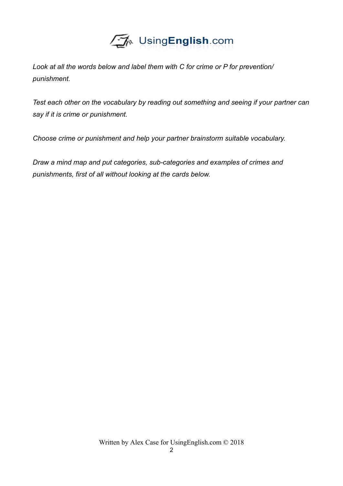

*Look at all the words below and label them with C for crime or P for prevention/ punishment.*

*Test each other on the vocabulary by reading out something and seeing if your partner can say if it is crime or punishment.*

*Choose crime or punishment and help your partner brainstorm suitable vocabulary.*

*Draw a mind map and put categories, sub-categories and examples of crimes and punishments, first of all without looking at the cards below.*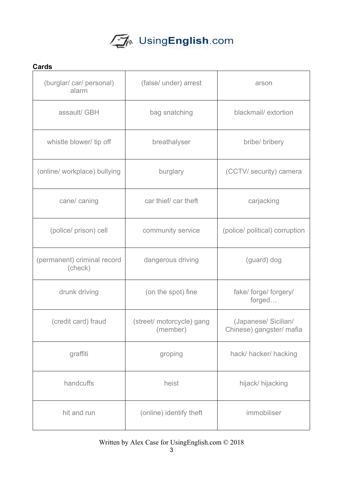

| <b>Cards</b>                           |                                       |                                                  |  |  |
|----------------------------------------|---------------------------------------|--------------------------------------------------|--|--|
| (burglar/car/personal)<br>alarm        | (false/ under) arrest                 | arson                                            |  |  |
| assault/ GBH                           | bag snatching                         | blackmail/extortion                              |  |  |
| whistle blower/ tip off                | breathalyser                          | bribe/ bribery                                   |  |  |
| (online/ workplace) bullying           | burglary                              | (CCTV/ security) camera                          |  |  |
| cane/ caning                           | car thief/ car theft                  | carjacking                                       |  |  |
| (police/ prison) cell                  | community service                     | (police/ political) corruption                   |  |  |
| (permanent) criminal record<br>(check) | dangerous driving                     | (guard) dog                                      |  |  |
| drunk driving                          | (on the spot) fine                    | fake/ forge/ forgery/<br>forged                  |  |  |
| (credit card) fraud                    | (street/ motorcycle) gang<br>(member) | (Japanese/ Sicilian/<br>Chinese) gangster/ mafia |  |  |
| graffiti                               | groping                               | hack/hacker/hacking                              |  |  |
| handcuffs                              | heist                                 | hijack/ hijacking                                |  |  |
| hit and run                            | (online) identify theft               | immobiliser                                      |  |  |

## Written by Alex Case for UsingEnglish.com © 2018